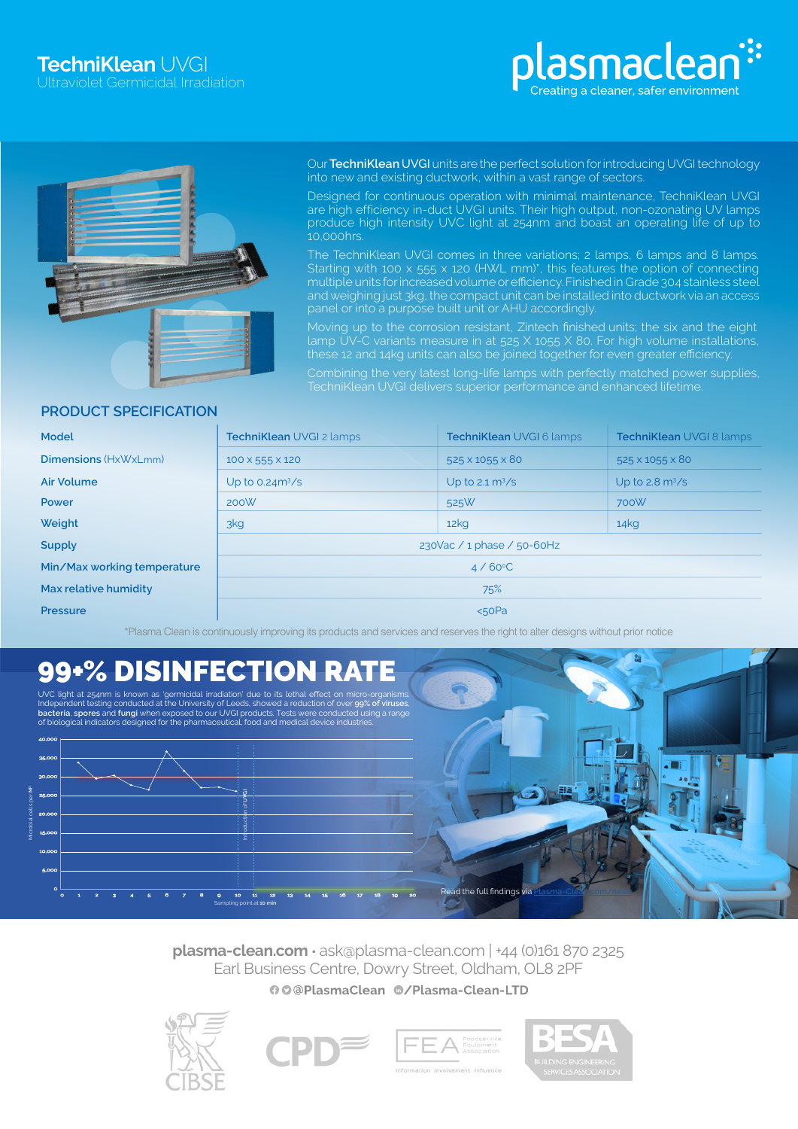



Our **TechniKlean** UVGI units are the perfect solution for introducing UVGI technology into new and existing ductwork, within a vast range of sectors.

Designed for continuous operation with minimal maintenance, TechniKlean UVGI are high efficiency in-duct UVGI units. Their high output, non-ozonating UV lamps produce high intensity UVC light at 254nm and boast an operating life of up to 10,000hrs.

The TechniKlean UVGI comes in three variations; 2 lamps, 6 lamps and 8 lamps. Starting with 100 x 555 x 120 (HWL mm)\*, this features the option of connecting multiple units forincreasedvolume orefficiency.Finished in Grade 304 stainless steel and weighing just 3kg, the compact unit can be installed into ductwork via an access panel or into a purpose built unit or AHU accordingly.

Moving up to the corrosion resistant, Zintech finished units; the six and the eight lamp UV-C variants measure in at 525 X 1055 X 80. For high volume installations, these 12 and 14kg units can also be joined together for even greater efficiency.

Combining the very latest long-life lamps with perfectly matched power supplies,

# **PRODUCT SPECIFICATION**

| <b>Model</b>                | <b>TechniKlean UVGI 2 lamps</b> | <b>TechniKlean UVGI 6 lamps</b>  | <b>TechniKlean UVGI 8 lamps</b>  |
|-----------------------------|---------------------------------|----------------------------------|----------------------------------|
| <b>Dimensions (HxWxLmm)</b> | $100 \times 555 \times 120$     | 525 × 1055 × 80                  | 525 × 1055 × 80                  |
| <b>Air Volume</b>           | Up to $0.24m^3/s$               | Up to $2.1 \text{ m}^3/\text{s}$ | Up to $2.8 \text{ m}^3/\text{s}$ |
| Power                       | 200W                            | 525W                             | 700W                             |
| Weight                      | 3kg                             | 12 <sub>kq</sub>                 | 14kg                             |
| <b>Supply</b>               | 230Vac / 1 phase / 50-60Hz      |                                  |                                  |
| Min/Max working temperature | $4/60^{\circ}$ C                |                                  |                                  |
| Max relative humidity       | 75%                             |                                  |                                  |
| <b>Pressure</b>             | 50Pa                            |                                  |                                  |

\*Plasma Clean is continuously improving its products and services and reserves the right to alter designs without prior notice

# 99+% DISINFECTION RATE

UVC light at 254nm is known as 'germicidal irradiation' due to its lethal effect on micro-organisms.<br>Independent testing conducted at the University of Leeds, showed a reduction of over 99% of viruses,<br>bacteria, spores and



**plasma-clean.com** • ask@plasma-clean.com | +44 (0)161 870 2325 Earl Business Centre, Dowry Street, Oldham, OL8 2PF00@PlasmaClean @/Plasma-Clean-LTD







**Read the full findings via**